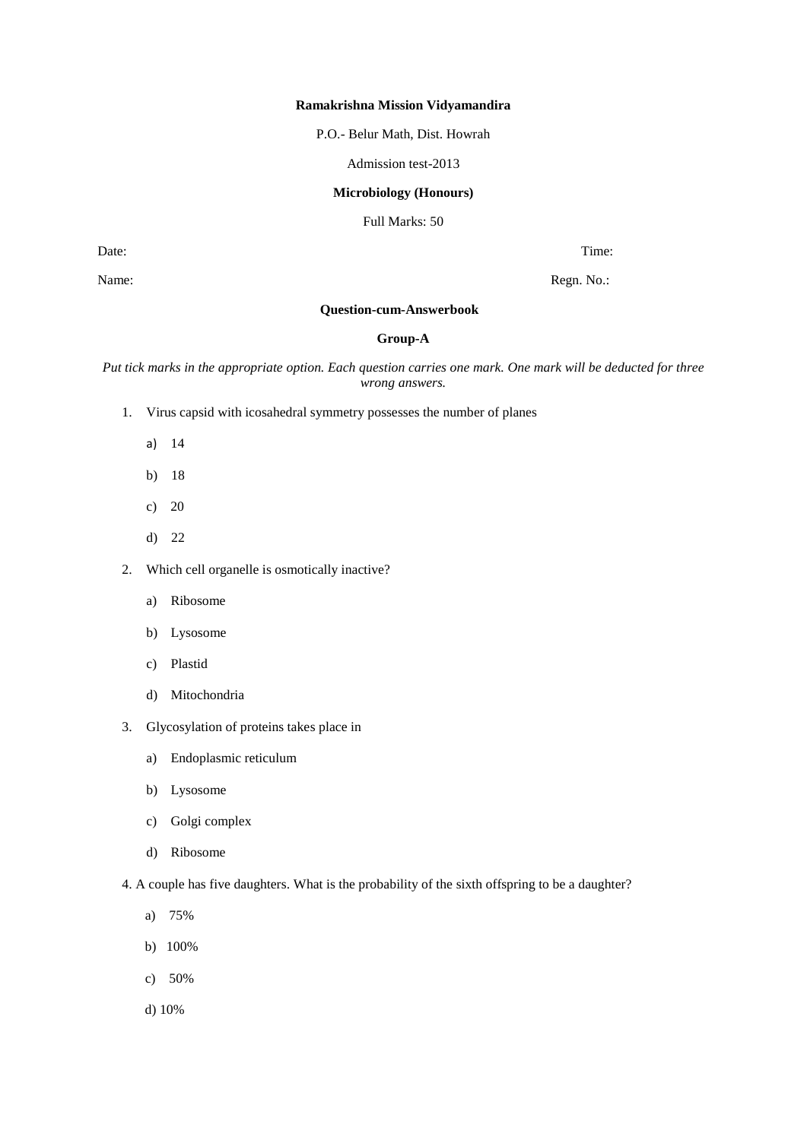#### **Ramakrishna Mission Vidyamandira**

P.O.- Belur Math, Dist. Howrah

Admission test-2013

### **Microbiology (Honours)**

Full Marks: 50

Date: Time: Time: Time: Time: Time: Time: Time: Time: Time: Time: Time: Time: Time: Time: Time: Time: Time: Time: Time: Time: Time: Time: Time: Time: Time: Time: Time: Time: Time: Time: Time: Time: Time: Time: Time: Time:

Name: Regn. No.:

# **Question-cum-Answerbook**

## **Group-A**

*Put tick marks in the appropriate option. Each question carries one mark. One mark will be deducted for three wrong answers.*

- 1. Virus capsid with icosahedral symmetry possesses the number of planes
	- a) 14
	- b) 18
	- c) 20
	- d) 22
- 2. Which cell organelle is osmotically inactive?
	- a) Ribosome
	- b) Lysosome
	- c) Plastid
	- d) Mitochondria
- 3. Glycosylation of proteins takes place in
	- a) Endoplasmic reticulum
	- b) Lysosome
	- c) Golgi complex
	- d) Ribosome
- 4. A couple has five daughters. What is the probability of the sixth offspring to be a daughter?
	- a) 75%
	- b) 100%
	- c) 50%
	- d) 10%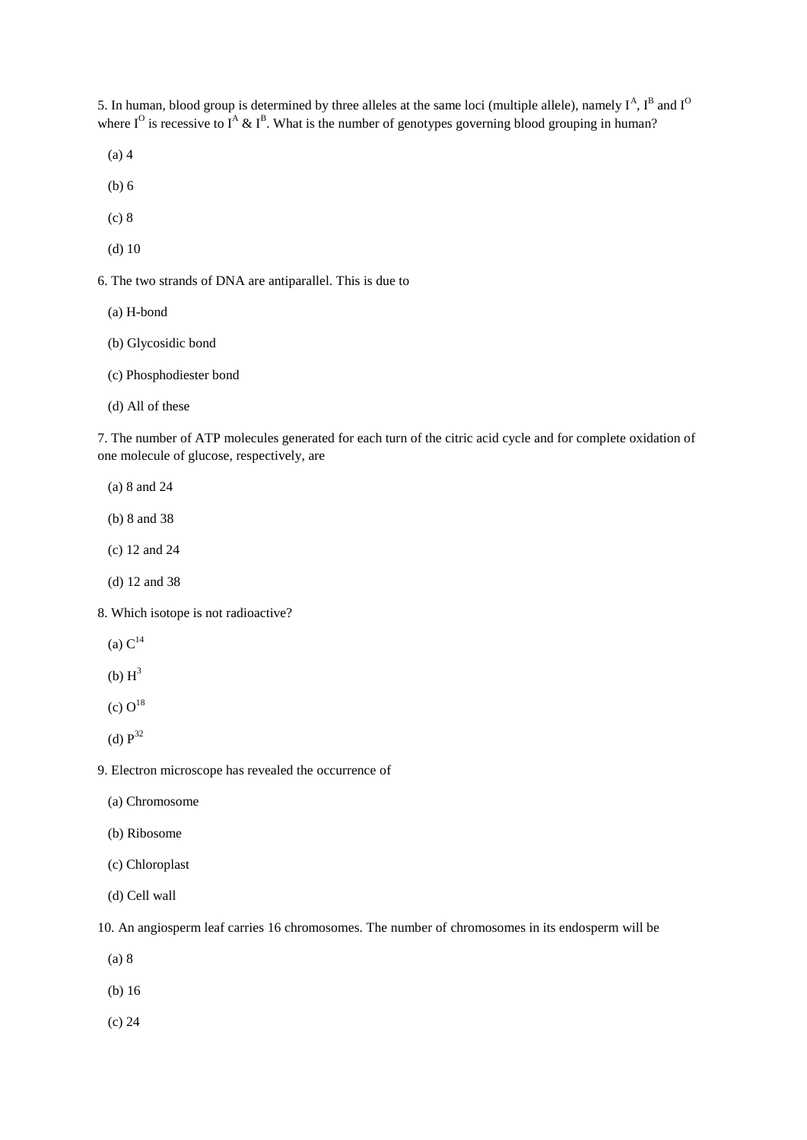5. In human, blood group is determined by three alleles at the same loci (multiple allele), namely  $I^A$ ,  $I^B$  and  $I^O$ where  $I^O$  is recessive to  $I^A \& I^B$ . What is the number of genotypes governing blood grouping in human?

(a) 4

- (b) 6
- (c) 8
- (d) 10

6. The two strands of DNA are antiparallel. This is due to

- (a) H-bond
- (b) Glycosidic bond
- (c) Phosphodiester bond
- (d) All of these

7. The number of ATP molecules generated for each turn of the citric acid cycle and for complete oxidation of one molecule of glucose, respectively, are

- (a) 8 and 24
- (b) 8 and 38
- (c) 12 and 24
- (d) 12 and 38

8. Which isotope is not radioactive?

- (a)  $C^{14}$
- $(b)$   $H^3$
- (c)  $O^{18}$
- (d)  $P^{32}$

9. Electron microscope has revealed the occurrence of

- (a) Chromosome
- (b) Ribosome
- (c) Chloroplast
- (d) Cell wall

10. An angiosperm leaf carries 16 chromosomes. The number of chromosomes in its endosperm will be

(a) 8

- (b) 16
- (c) 24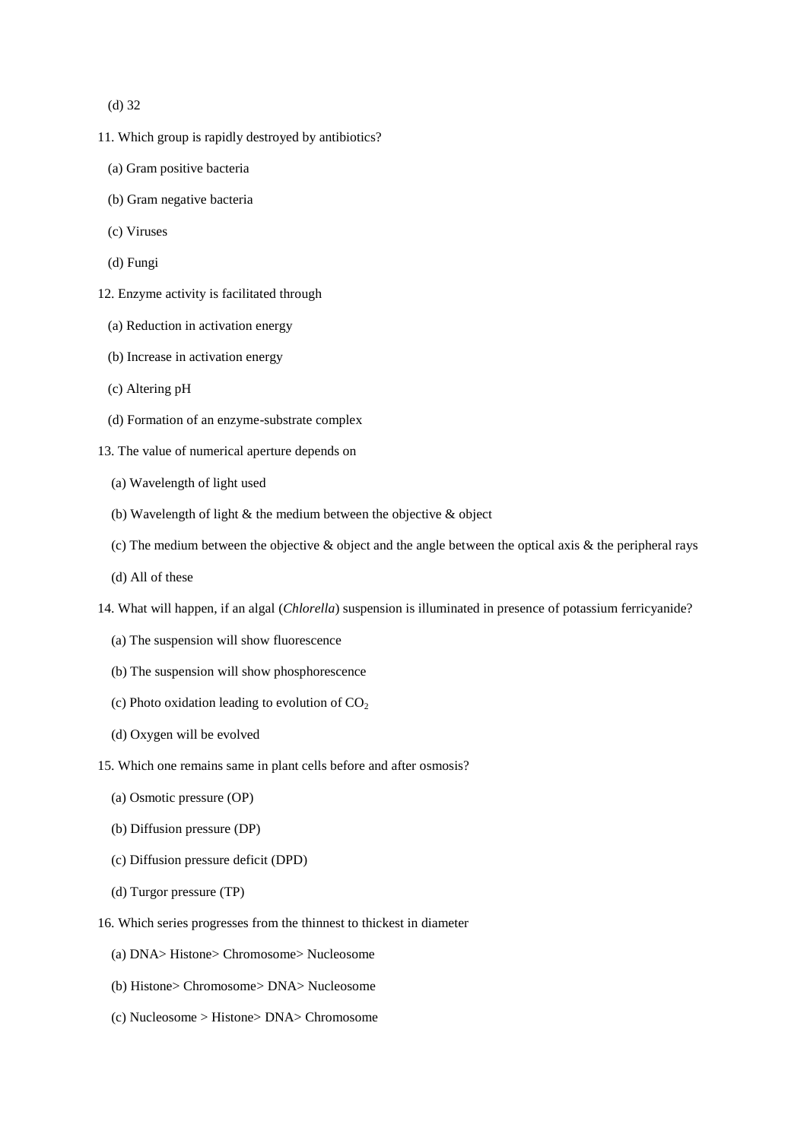(d) 32

- 11. Which group is rapidly destroyed by antibiotics?
	- (a) Gram positive bacteria
	- (b) Gram negative bacteria
	- (c) Viruses
	- (d) Fungi
- 12. Enzyme activity is facilitated through
	- (a) Reduction in activation energy
	- (b) Increase in activation energy
	- (c) Altering pH
	- (d) Formation of an enzyme-substrate complex
- 13. The value of numerical aperture depends on
	- (a) Wavelength of light used
	- (b) Wavelength of light  $\&$  the medium between the objective  $\&$  object
	- (c) The medium between the objective  $\&$  object and the angle between the optical axis  $\&$  the peripheral rays
	- (d) All of these
- 14. What will happen, if an algal (*Chlorella*) suspension is illuminated in presence of potassium ferricyanide?
	- (a) The suspension will show fluorescence
	- (b) The suspension will show phosphorescence
	- (c) Photo oxidation leading to evolution of  $CO<sub>2</sub>$
	- (d) Oxygen will be evolved
- 15. Which one remains same in plant cells before and after osmosis?
	- (a) Osmotic pressure (OP)
	- (b) Diffusion pressure (DP)
	- (c) Diffusion pressure deficit (DPD)
	- (d) Turgor pressure (TP)
- 16. Which series progresses from the thinnest to thickest in diameter
	- (a) DNA> Histone> Chromosome> Nucleosome
	- (b) Histone> Chromosome> DNA> Nucleosome
	- (c) Nucleosome > Histone> DNA> Chromosome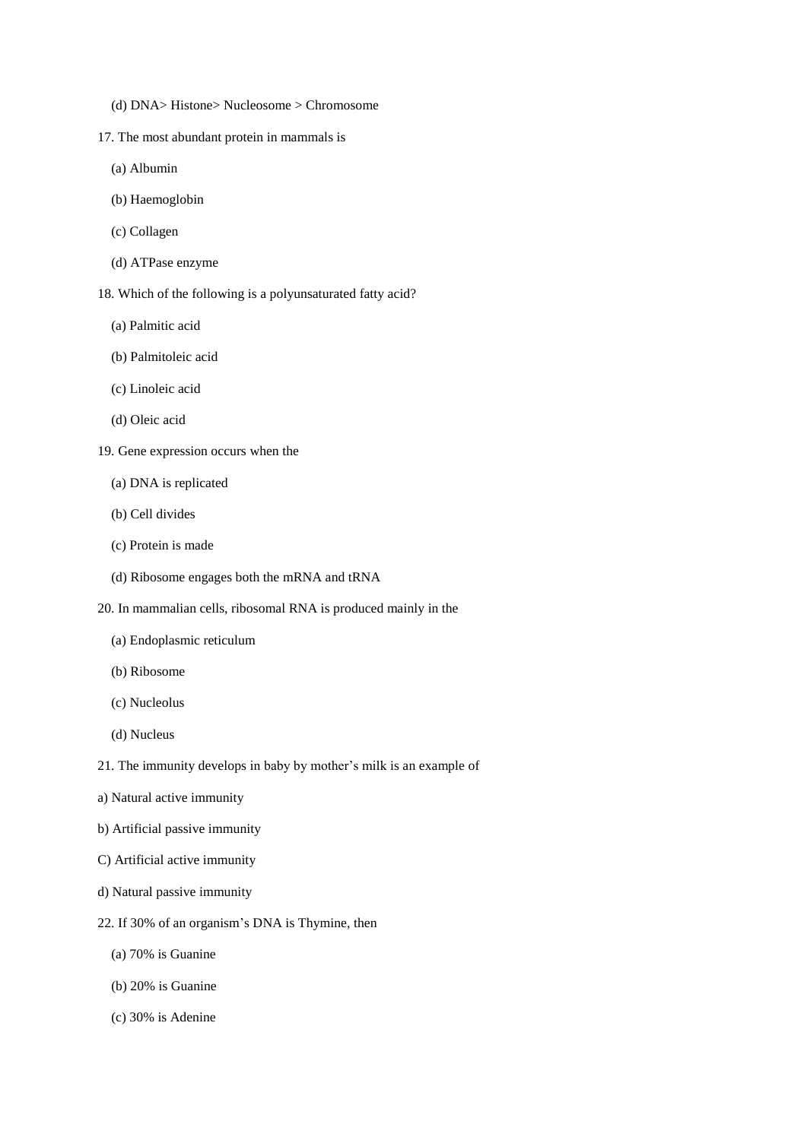- (d) DNA> Histone> Nucleosome > Chromosome
- 17. The most abundant protein in mammals is
	- (a) Albumin
	- (b) Haemoglobin
	- (c) Collagen
	- (d) ATPase enzyme
- 18. Which of the following is a polyunsaturated fatty acid?
	- (a) Palmitic acid
	- (b) Palmitoleic acid
	- (c) Linoleic acid
	- (d) Oleic acid
- 19. Gene expression occurs when the
	- (a) DNA is replicated
	- (b) Cell divides
	- (c) Protein is made
	- (d) Ribosome engages both the mRNA and tRNA
- 20. In mammalian cells, ribosomal RNA is produced mainly in the
	- (a) Endoplasmic reticulum
	- (b) Ribosome
	- (c) Nucleolus
	- (d) Nucleus
- 21. The immunity develops in baby by mother's milk is an example of
- a) Natural active immunity
- b) Artificial passive immunity
- C) Artificial active immunity
- d) Natural passive immunity
- 22. If 30% of an organism's DNA is Thymine, then
	- (a) 70% is Guanine
	- (b) 20% is Guanine
	- (c) 30% is Adenine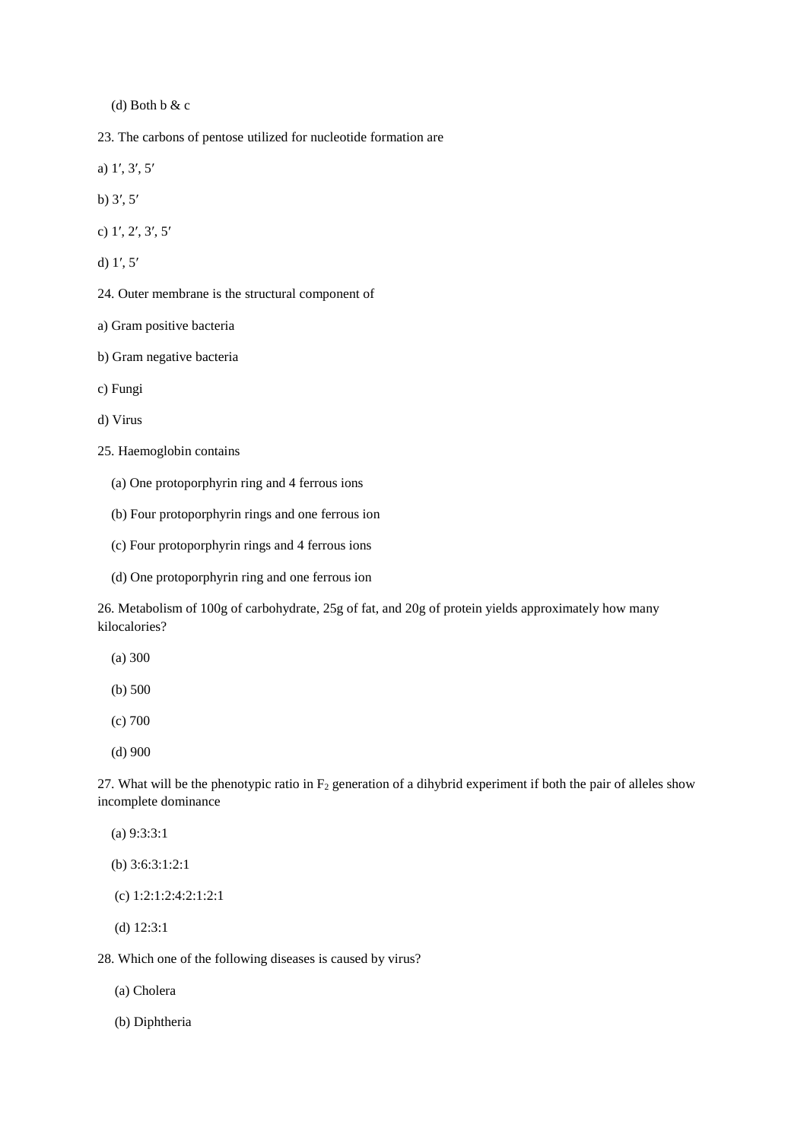(d) Both b & c

23. The carbons of pentose utilized for nucleotide formation are

a) 1′, 3′, 5′

b) 3′, 5′

c) 1′, 2′, 3′, 5′

d) 1′, 5′

24. Outer membrane is the structural component of

a) Gram positive bacteria

b) Gram negative bacteria

c) Fungi

d) Virus

25. Haemoglobin contains

(a) One protoporphyrin ring and 4 ferrous ions

(b) Four protoporphyrin rings and one ferrous ion

(c) Four protoporphyrin rings and 4 ferrous ions

(d) One protoporphyrin ring and one ferrous ion

26. Metabolism of 100g of carbohydrate, 25g of fat, and 20g of protein yields approximately how many kilocalories?

(a) 300

- (b) 500
- (c) 700
- (d) 900

27. What will be the phenotypic ratio in  $F_2$  generation of a dihybrid experiment if both the pair of alleles show incomplete dominance

(a) 9:3:3:1

(b) 3:6:3:1:2:1

(c) 1:2:1:2:4:2:1:2:1

(d) 12:3:1

28. Which one of the following diseases is caused by virus?

(a) Cholera

(b) Diphtheria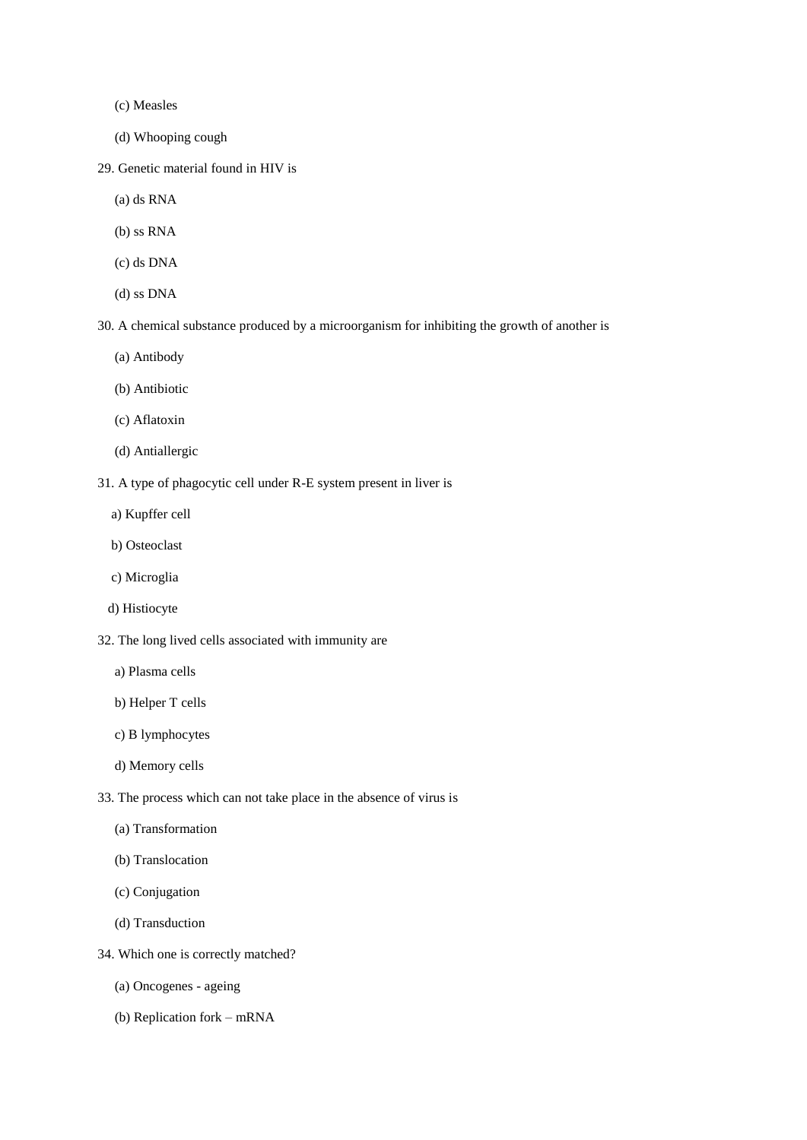(c) Measles

- (d) Whooping cough
- 29. Genetic material found in HIV is
	- (a) ds RNA
	- (b) ss RNA
	- (c) ds DNA
	- (d) ss DNA

30. A chemical substance produced by a microorganism for inhibiting the growth of another is

- (a) Antibody
- (b) Antibiotic
- (c) Aflatoxin
- (d) Antiallergic
- 31. A type of phagocytic cell under R-E system present in liver is
	- a) Kupffer cell
	- b) Osteoclast
	- c) Microglia
	- d) Histiocyte
- 32. The long lived cells associated with immunity are
	- a) Plasma cells
	- b) Helper T cells
	- c) B lymphocytes
	- d) Memory cells
- 33. The process which can not take place in the absence of virus is
	- (a) Transformation
	- (b) Translocation
	- (c) Conjugation
	- (d) Transduction
- 34. Which one is correctly matched?
	- (a) Oncogenes ageing
	- (b) Replication fork mRNA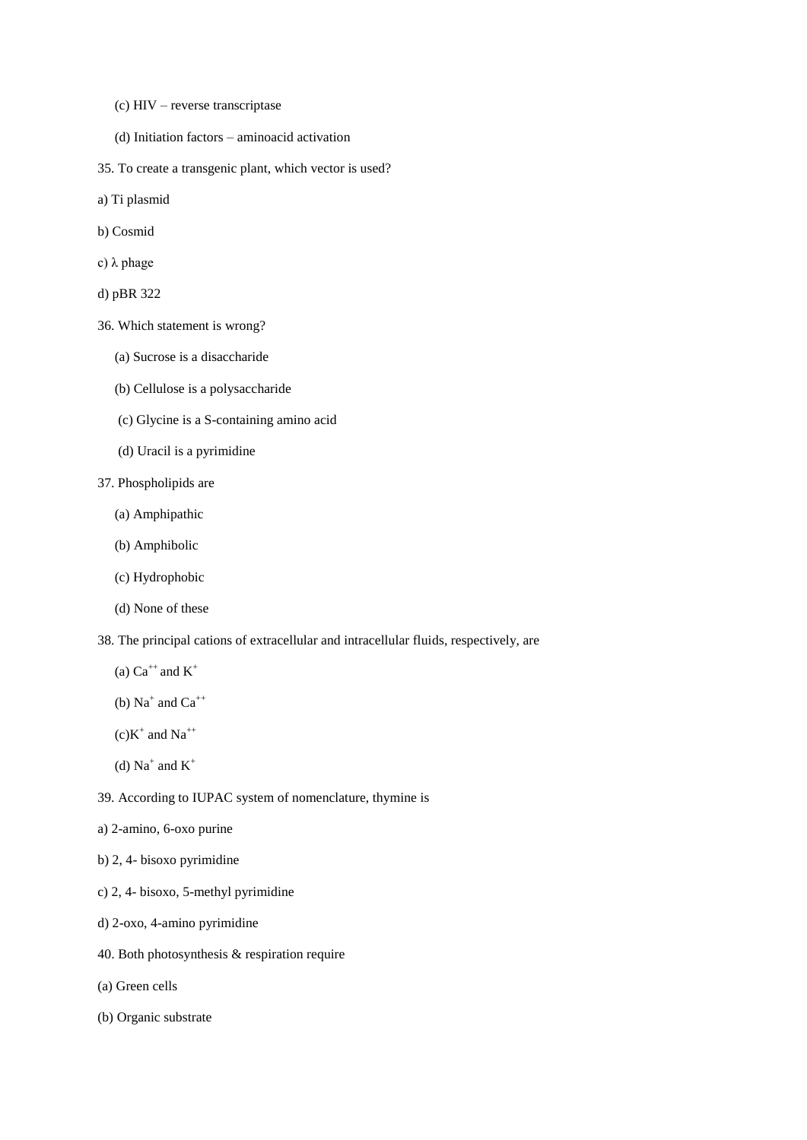- (c) HIV reverse transcriptase
- (d) Initiation factors aminoacid activation
- 35. To create a transgenic plant, which vector is used?
- a) Ti plasmid
- b) Cosmid
- c) λ phage
- d) pBR 322
- 36. Which statement is wrong?
	- (a) Sucrose is a disaccharide
	- (b) Cellulose is a polysaccharide
	- (c) Glycine is a S-containing amino acid
	- (d) Uracil is a pyrimidine
- 37. Phospholipids are
	- (a) Amphipathic
	- (b) Amphibolic
	- (c) Hydrophobic
	- (d) None of these
- 38. The principal cations of extracellular and intracellular fluids, respectively, are
	- (a)  $Ca^{++}$  and  $K^+$
- (b)  $Na^+$  and  $Ca^{++}$
- $(c)K^+$  and Na<sup>++</sup>
- (d)  $Na^+$  and  $K^+$
- 39. According to IUPAC system of nomenclature, thymine is
- a) 2-amino, 6-oxo purine
- b) 2, 4- bisoxo pyrimidine
- c) 2, 4- bisoxo, 5-methyl pyrimidine
- d) 2-oxo, 4-amino pyrimidine
- 40. Both photosynthesis & respiration require
- (a) Green cells
- (b) Organic substrate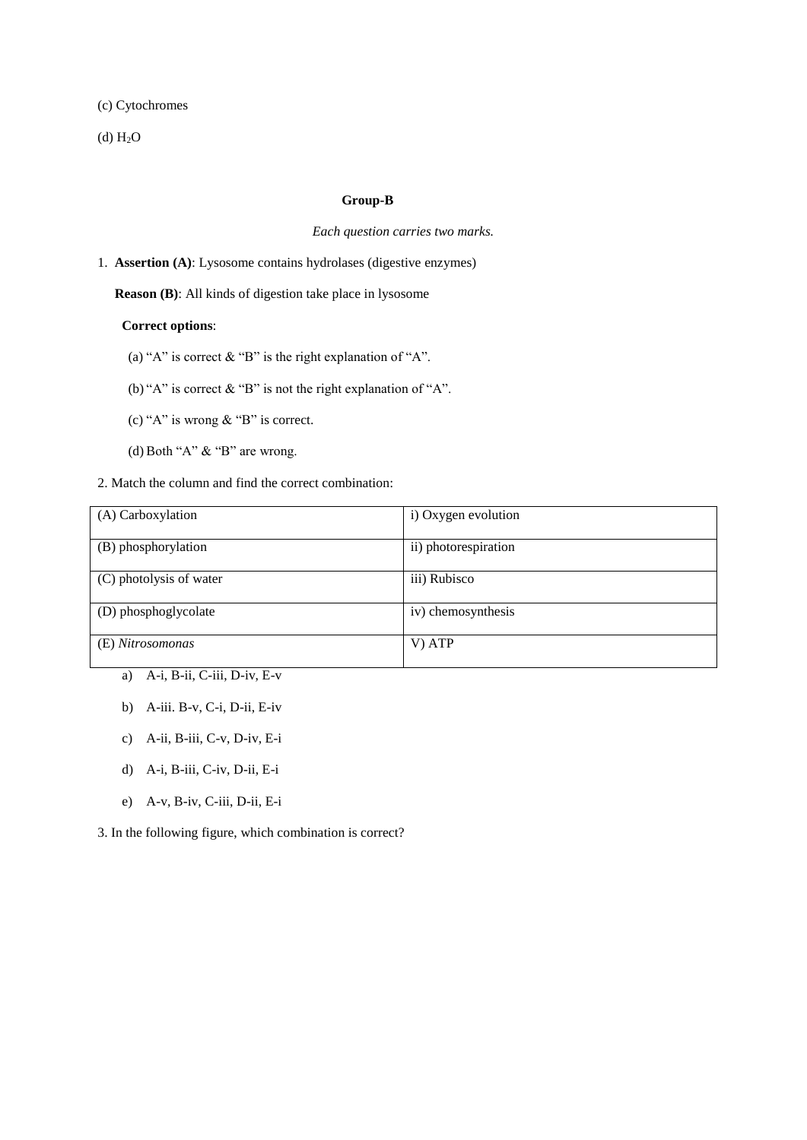(c) Cytochromes

 $(d) H<sub>2</sub>O$ 

## **Group-B**

#### *Each question carries two marks.*

# 1. **Assertion (A)**: Lysosome contains hydrolases (digestive enzymes)

 **Reason (B)**: All kinds of digestion take place in lysosome

# **Correct options**:

(a) "A" is correct  $\&$  "B" is the right explanation of "A".

(b) "A" is correct & "B" is not the right explanation of "A".

- (c) "A" is wrong & "B" is correct.
- (d) Both "A" & "B" are wrong.
- 2. Match the column and find the correct combination:

| (A) Carboxylation       | i) Oxygen evolution  |
|-------------------------|----------------------|
| (B) phosphorylation     | ii) photorespiration |
| (C) photolysis of water | iii) Rubisco         |
| (D) phosphoglycolate    | iv) chemosynthesis   |
| (E) Nitrosomonas        | V) ATP               |

- a) A-i, B-ii, C-iii, D-iv, E-v
- b) A-iii. B-v, C-i, D-ii, E-iv
- c) A-ii, B-iii, C-v, D-iv, E-i
- d) A-i, B-iii, C-iv, D-ii, E-i
- e) A-v, B-iv, C-iii, D-ii, E-i

3. In the following figure, which combination is correct?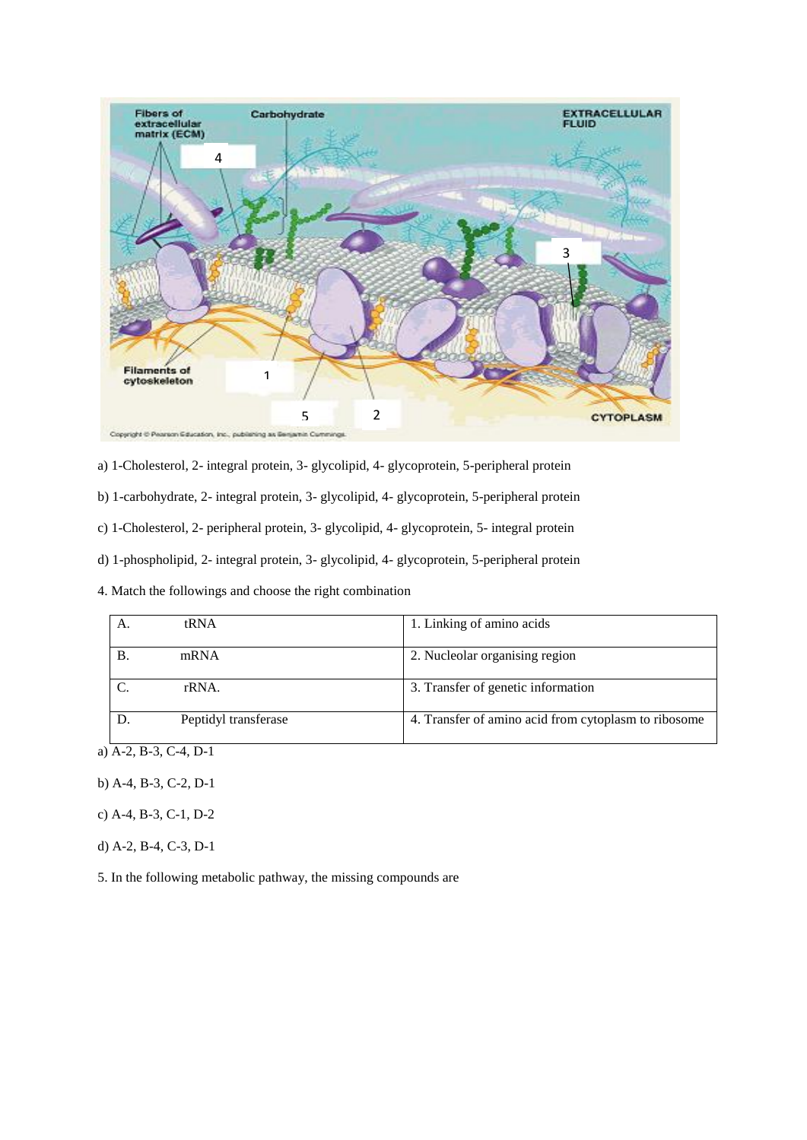

a) 1-Cholesterol, 2- integral protein, 3- glycolipid, 4- glycoprotein, 5-peripheral protein

b) 1-carbohydrate, 2- integral protein, 3- glycolipid, 4- glycoprotein, 5-peripheral protein

c) 1-Cholesterol, 2- peripheral protein, 3- glycolipid, 4- glycoprotein, 5- integral protein

d) 1-phospholipid, 2- integral protein, 3- glycolipid, 4- glycoprotein, 5-peripheral protein

4. Match the followings and choose the right combination

| A.         | tRNA                 | 1. Linking of amino acids                            |
|------------|----------------------|------------------------------------------------------|
| <b>B</b> . | mRNA                 | 2. Nucleolar organising region                       |
|            | rRNA.                | 3. Transfer of genetic information                   |
|            | Peptidyl transferase | 4. Transfer of amino acid from cytoplasm to ribosome |

a) A-2, B-3, C-4, D-1

- b) A-4, B-3, C-2, D-1
- c) A-4, B-3, C-1, D-2
- d) A-2, B-4, C-3, D-1

5. In the following metabolic pathway, the missing compounds are